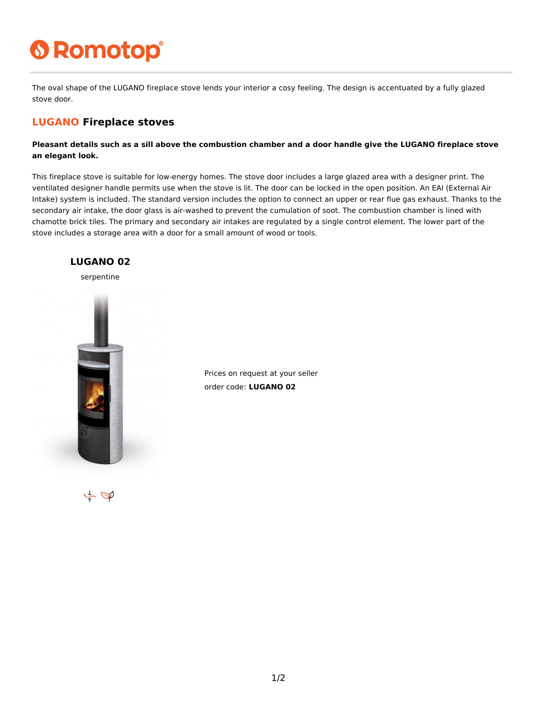## **6 Romotop®**

The oval shape of the LUGANO fireplace stove lends your interior a cosy feeling. The design is accentuated by a fully glazed stove door.

## **LUGANO Fireplace stoves**

**Pleasant details such as a sill above the combustion chamber and a door handle give the LUGANO fireplace stove an elegant look.**

This fireplace stove is suitable for low-energy homes. The stove door includes a large glazed area with a designer print. The ventilated designer handle permits use when the stove is lit. The door can be locked in the open position. An EAI (External Air Intake) system is included. The standard version includes the option to connect an upper or rear flue gas exhaust. Thanks to the secondary air intake, the door glass is air-washed to prevent the cumulation of soot. The combustion chamber is lined with chamotte brick tiles. The primary and secondary air intakes are regulated by a single control element. The lower part of the stove includes a storage area with a door for a small amount of wood or tools.



Prices on request at your seller order code: **LUGANO 02**

 $\tilde{\varphi}$